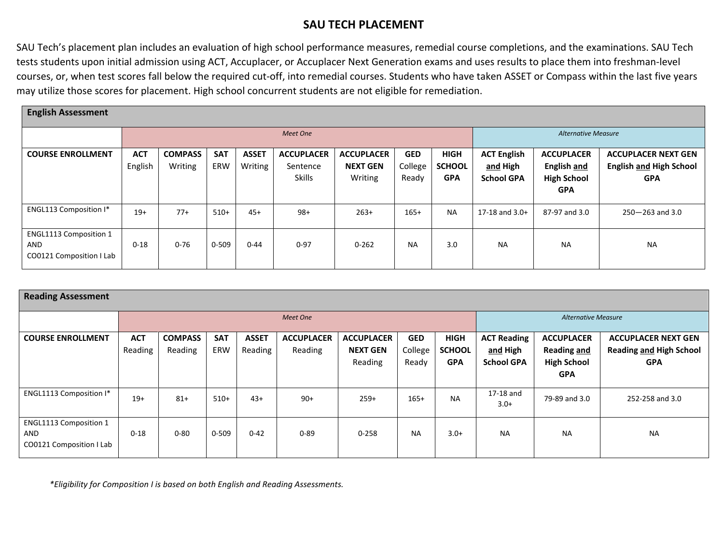## **SAU TECH PLACEMENT**

SAU Tech's placement plan includes an evaluation of high school performance measures, remedial course completions, and the examinations. SAU Tech tests students upon initial admission using ACT, Accuplacer, or Accuplacer Next Generation exams and uses results to place them into freshman-level courses, or, when test scores fall below the required cut-off, into remedial courses. Students who have taken ASSET or Compass within the last five years may utilize those scores for placement. High school concurrent students are not eligible for remediation.

| <b>English Assessment</b>                                        |                       |                           |                   |                         |                                                |                                                 |                                |                                            |                                                     |                                                                      |                                                                            |
|------------------------------------------------------------------|-----------------------|---------------------------|-------------------|-------------------------|------------------------------------------------|-------------------------------------------------|--------------------------------|--------------------------------------------|-----------------------------------------------------|----------------------------------------------------------------------|----------------------------------------------------------------------------|
|                                                                  | Meet One              |                           |                   |                         |                                                |                                                 |                                |                                            |                                                     | <b>Alternative Measure</b>                                           |                                                                            |
| <b>COURSE ENROLLMENT</b>                                         | <b>ACT</b><br>English | <b>COMPASS</b><br>Writing | <b>SAT</b><br>ERW | <b>ASSET</b><br>Writing | <b>ACCUPLACER</b><br>Sentence<br><b>Skills</b> | <b>ACCUPLACER</b><br><b>NEXT GEN</b><br>Writing | <b>GED</b><br>College<br>Ready | <b>HIGH</b><br><b>SCHOOL</b><br><b>GPA</b> | <b>ACT English</b><br>and High<br><b>School GPA</b> | <b>ACCUPLACER</b><br>English and<br><b>High School</b><br><b>GPA</b> | <b>ACCUPLACER NEXT GEN</b><br><b>English and High School</b><br><b>GPA</b> |
| <b>ENGL113 Composition I*</b>                                    | $19+$                 | $77+$                     | $510+$            | $45+$                   | $98+$                                          | $263+$                                          | $165+$                         | <b>NA</b>                                  | $17-18$ and $3.0+$                                  | 87-97 and 3.0                                                        | $250 - 263$ and 3.0                                                        |
| <b>ENGL1113 Composition 1</b><br>AND<br>CO0121 Composition I Lab | $0 - 18$              | $0 - 76$                  | 0-509             | $0 - 44$                | $0 - 97$                                       | $0 - 262$                                       | <b>NA</b>                      | 3.0                                        | <b>NA</b>                                           | <b>NA</b>                                                            | <b>NA</b>                                                                  |

| <b>Reading Assessment</b>                                        |                       |                           |                   |                         |                              |                                                 |                                |                                            |                                                     |                                                                             |                                                                            |
|------------------------------------------------------------------|-----------------------|---------------------------|-------------------|-------------------------|------------------------------|-------------------------------------------------|--------------------------------|--------------------------------------------|-----------------------------------------------------|-----------------------------------------------------------------------------|----------------------------------------------------------------------------|
|                                                                  |                       |                           |                   |                         | Meet One                     | <b>Alternative Measure</b>                      |                                |                                            |                                                     |                                                                             |                                                                            |
| <b>COURSE ENROLLMENT</b>                                         | <b>ACT</b><br>Reading | <b>COMPASS</b><br>Reading | <b>SAT</b><br>ERW | <b>ASSET</b><br>Reading | <b>ACCUPLACER</b><br>Reading | <b>ACCUPLACER</b><br><b>NEXT GEN</b><br>Reading | <b>GED</b><br>College<br>Ready | <b>HIGH</b><br><b>SCHOOL</b><br><b>GPA</b> | <b>ACT Reading</b><br>and High<br><b>School GPA</b> | <b>ACCUPLACER</b><br><b>Reading and</b><br><b>High School</b><br><b>GPA</b> | <b>ACCUPLACER NEXT GEN</b><br><b>Reading and High School</b><br><b>GPA</b> |
| <b>ENGL1113 Composition I*</b>                                   | $19+$                 | $81+$                     | $510+$            | $43+$                   | $90+$                        | $259+$                                          | $165+$                         | <b>NA</b>                                  | 17-18 and<br>$3.0+$                                 | 79-89 and 3.0                                                               | 252-258 and 3.0                                                            |
| ENGL1113 Composition 1<br><b>AND</b><br>CO0121 Composition I Lab | $0 - 18$              | $0 - 80$                  | $0 - 509$         | $0 - 42$                | $0 - 89$                     | $0 - 258$                                       | <b>NA</b>                      | $3.0+$                                     | <b>NA</b>                                           | <b>NA</b>                                                                   | <b>NA</b>                                                                  |

 *\*Eligibility for Composition I is based on both English and Reading Assessments.*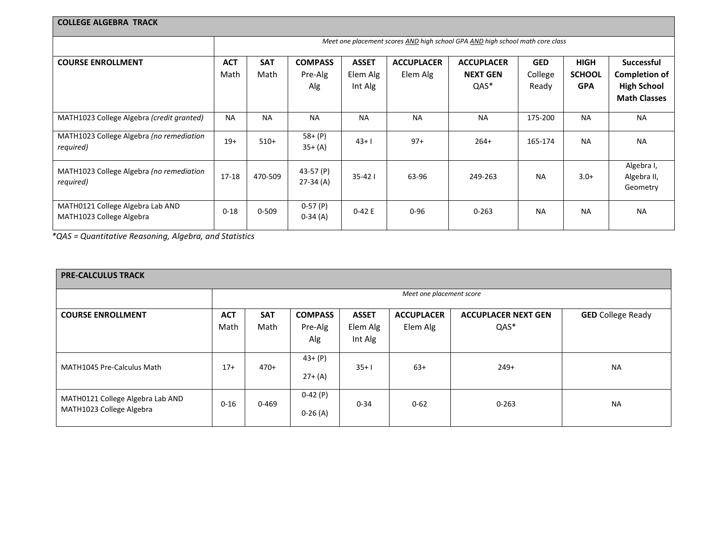| <b>COLLEGE ALGEBRA TRACK</b>                                 |                                                                               |            |                        |              |                   |                   |            |               |                           |  |  |
|--------------------------------------------------------------|-------------------------------------------------------------------------------|------------|------------------------|--------------|-------------------|-------------------|------------|---------------|---------------------------|--|--|
|                                                              | Meet one placement scores AND high school GPA AND high school math core class |            |                        |              |                   |                   |            |               |                           |  |  |
| <b>COURSE ENROLLMENT</b>                                     | <b>ACT</b>                                                                    | <b>SAT</b> | <b>COMPASS</b>         | <b>ASSET</b> | <b>ACCUPLACER</b> | <b>ACCUPLACER</b> | <b>GED</b> | <b>HIGH</b>   | <b>Successful</b>         |  |  |
|                                                              | Math                                                                          | Math       | Pre-Alg                | Elem Alg     | Elem Alg          | <b>NEXT GEN</b>   | College    | <b>SCHOOL</b> | <b>Completion of</b>      |  |  |
|                                                              |                                                                               |            | Alg                    | Int Alg      |                   | QAS*              | Ready      | <b>GPA</b>    | <b>High School</b>        |  |  |
|                                                              |                                                                               |            |                        |              |                   |                   |            |               | <b>Math Classes</b>       |  |  |
| MATH1023 College Algebra (credit granted)                    | <b>NA</b>                                                                     | <b>NA</b>  | <b>NA</b>              | <b>NA</b>    | <b>NA</b>         | <b>NA</b>         | 175-200    | <b>NA</b>     | <b>NA</b>                 |  |  |
| MATH1023 College Algebra (no remediation<br>required)        | $19+$                                                                         | $510+$     | $58+ (P)$<br>$35+ (A)$ | $43+1$       | $97+$             | $264+$            | 165-174    | <b>NA</b>     | <b>NA</b>                 |  |  |
| MATH1023 College Algebra (no remediation                     | 17-18                                                                         | 470-509    | 43-57 (P)              | $35 - 421$   | 63-96             | 249-263           | <b>NA</b>  | $3.0+$        | Algebra I,<br>Algebra II, |  |  |
| required)                                                    |                                                                               |            | 27-34 (A)              |              |                   |                   |            |               | Geometry                  |  |  |
| MATH0121 College Algebra Lab AND<br>MATH1023 College Algebra | $0 - 18$                                                                      | $0 - 509$  | $0-57(P)$<br>$0-34(A)$ | $0-42E$      | $0 - 96$          | $0 - 263$         | <b>NA</b>  | <b>NA</b>     | <b>NA</b>                 |  |  |

 *\*QAS = Quantitative Reasoning, Algebra, and Statistics*

| <b>PRE-CALCULUS TRACK</b>                                    |                    |                          |                                  |                                     |                               |                                    |                          |  |  |  |  |
|--------------------------------------------------------------|--------------------|--------------------------|----------------------------------|-------------------------------------|-------------------------------|------------------------------------|--------------------------|--|--|--|--|
|                                                              |                    | Meet one placement score |                                  |                                     |                               |                                    |                          |  |  |  |  |
| <b>COURSE ENROLLMENT</b>                                     | <b>ACT</b><br>Math | <b>SAT</b><br>Math       | <b>COMPASS</b><br>Pre-Alg<br>Alg | <b>ASSET</b><br>Elem Alg<br>Int Alg | <b>ACCUPLACER</b><br>Elem Alg | <b>ACCUPLACER NEXT GEN</b><br>QAS* | <b>GED</b> College Ready |  |  |  |  |
| MATH1045 Pre-Calculus Math                                   | $17+$              | $470+$                   | $43+ (P)$<br>$27+ (A)$           | $35+1$                              | $63+$                         | $249+$                             | <b>NA</b>                |  |  |  |  |
| MATH0121 College Algebra Lab AND<br>MATH1023 College Algebra | $0 - 16$           | $0 - 469$                | $0-42(P)$<br>$0-26(A)$           | $0 - 34$                            | $0 - 62$                      | $0 - 263$                          | <b>NA</b>                |  |  |  |  |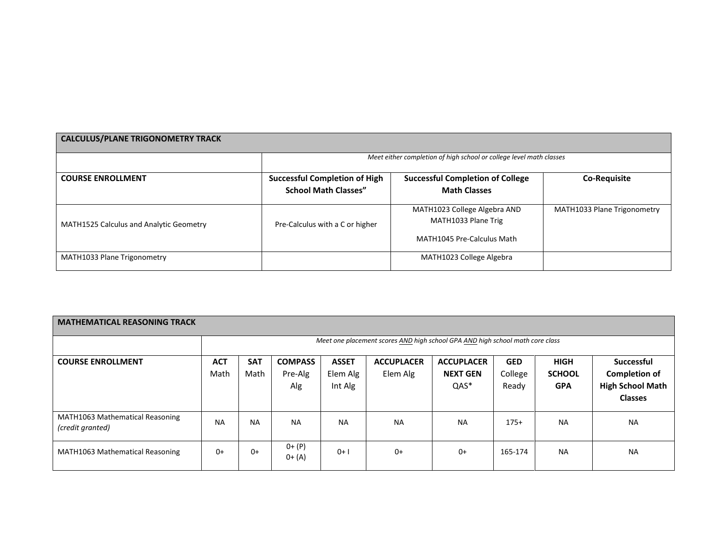| <b>CALCULUS/PLANE TRIGONOMETRY TRACK</b>                            |                                                                     |                                                                                   |                             |  |  |  |  |  |  |  |  |
|---------------------------------------------------------------------|---------------------------------------------------------------------|-----------------------------------------------------------------------------------|-----------------------------|--|--|--|--|--|--|--|--|
| Meet either completion of high school or college level math classes |                                                                     |                                                                                   |                             |  |  |  |  |  |  |  |  |
| <b>COURSE ENROLLMENT</b>                                            | <b>Successful Completion of High</b><br><b>School Math Classes"</b> | <b>Successful Completion of College</b><br><b>Math Classes</b>                    | <b>Co-Requisite</b>         |  |  |  |  |  |  |  |  |
| <b>MATH1525 Calculus and Analytic Geometry</b>                      | Pre-Calculus with a C or higher                                     | MATH1023 College Algebra AND<br>MATH1033 Plane Trig<br>MATH1045 Pre-Calculus Math | MATH1033 Plane Trigonometry |  |  |  |  |  |  |  |  |
| MATH1033 Plane Trigonometry                                         |                                                                     | MATH1023 College Algebra                                                          |                             |  |  |  |  |  |  |  |  |

| <b>MATHEMATICAL REASONING TRACK</b>                 |                    |                    |                                  |                                     |                                                                               |                                                 |                                |                                            |                                                                                        |
|-----------------------------------------------------|--------------------|--------------------|----------------------------------|-------------------------------------|-------------------------------------------------------------------------------|-------------------------------------------------|--------------------------------|--------------------------------------------|----------------------------------------------------------------------------------------|
|                                                     |                    |                    |                                  |                                     | Meet one placement scores AND high school GPA AND high school math core class |                                                 |                                |                                            |                                                                                        |
| <b>COURSE ENROLLMENT</b>                            | <b>ACT</b><br>Math | <b>SAT</b><br>Math | <b>COMPASS</b><br>Pre-Alg<br>Alg | <b>ASSET</b><br>Elem Alg<br>Int Alg | <b>ACCUPLACER</b><br>Elem Alg                                                 | <b>ACCUPLACER</b><br><b>NEXT GEN</b><br>$QAS^*$ | <b>GED</b><br>College<br>Ready | <b>HIGH</b><br><b>SCHOOL</b><br><b>GPA</b> | <b>Successful</b><br><b>Completion of</b><br><b>High School Math</b><br><b>Classes</b> |
| MATH1063 Mathematical Reasoning<br>(credit granted) | <b>NA</b>          | <b>NA</b>          | <b>NA</b>                        | <b>NA</b>                           | <b>NA</b>                                                                     | <b>NA</b>                                       | $175+$                         | <b>NA</b>                                  | <b>NA</b>                                                                              |
| MATH1063 Mathematical Reasoning                     | $0+$               | $0+$               | $0+ (P)$<br>$0+ (A)$             | $0+1$                               | $0+$                                                                          | $0+$                                            | 165-174                        | <b>NA</b>                                  | <b>NA</b>                                                                              |